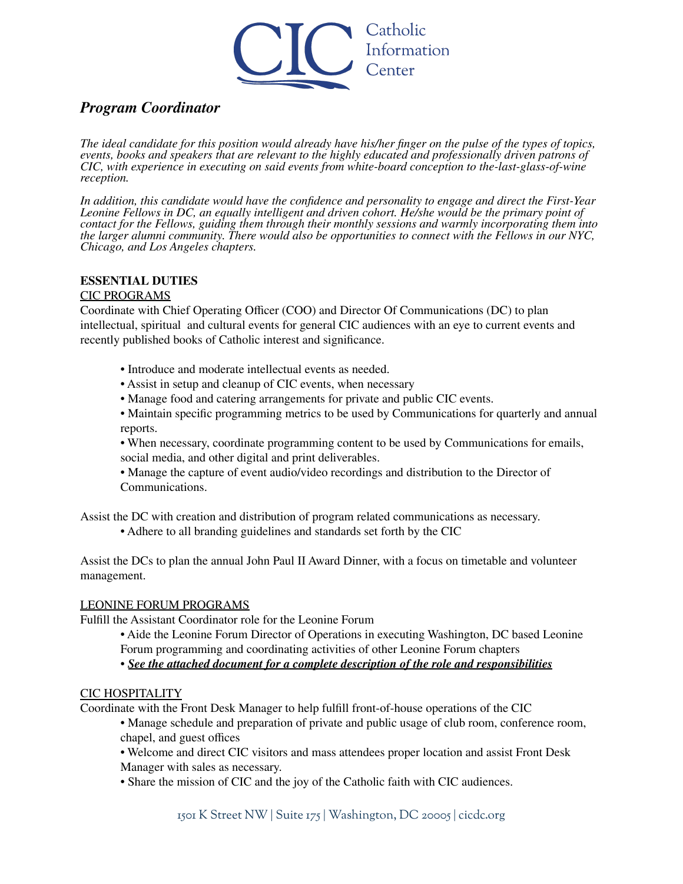

# *Program Coordinator*

The ideal candidate for this position would already have his/her finger on the pulse of the types of topics, *events, books and speakers that are relevant to the highly educated and professionally driven patrons of CIC, with experience in executing on said events from white-board conception to the-last-glass-of-wine reception.*

*In addition, this candidate would have the confidence and personality to engage and direct the First-Year Leonine Fellows in DC, an equally intelligent and driven cohort. He/she would be the primary point of contact for the Fellows, guiding them through their monthly sessions and warmly incorporating them into the larger alumni community. There would also be opportunities to connect with the Fellows in our NYC, Chicago, and Los Angeles chapters.*

## **ESSENTIAL DUTIES**

## CIC PROGRAMS

Coordinate with Chief Operating Officer (COO) and Director Of Communications (DC) to plan intellectual, spiritual and cultural events for general CIC audiences with an eye to current events and recently published books of Catholic interest and significance.

- Introduce and moderate intellectual events as needed.
- Assist in setup and cleanup of CIC events, when necessary
- Manage food and catering arrangements for private and public CIC events.
- Maintain specific programming metrics to be used by Communications for quarterly and annual reports.

• When necessary, coordinate programming content to be used by Communications for emails, social media, and other digital and print deliverables.

• Manage the capture of event audio/video recordings and distribution to the Director of Communications.

Assist the DC with creation and distribution of program related communications as necessary.

• Adhere to all branding guidelines and standards set forth by the CIC

Assist the DCs to plan the annual John Paul II Award Dinner, with a focus on timetable and volunteer management.

#### LEONINE FORUM PROGRAMS

Fulfill the Assistant Coordinator role for the Leonine Forum

• Aide the Leonine Forum Director of Operations in executing Washington, DC based Leonine Forum programming and coordinating activities of other Leonine Forum chapters

• *See the attached document for a complete description of the role and responsibilities*

#### CIC HOSPITALITY

Coordinate with the Front Desk Manager to help fulfill front-of-house operations of the CIC

- Manage schedule and preparation of private and public usage of club room, conference room, chapel, and guest offices
- Welcome and direct CIC visitors and mass attendees proper location and assist Front Desk Manager with sales as necessary.
- Share the mission of CIC and the joy of the Catholic faith with CIC audiences.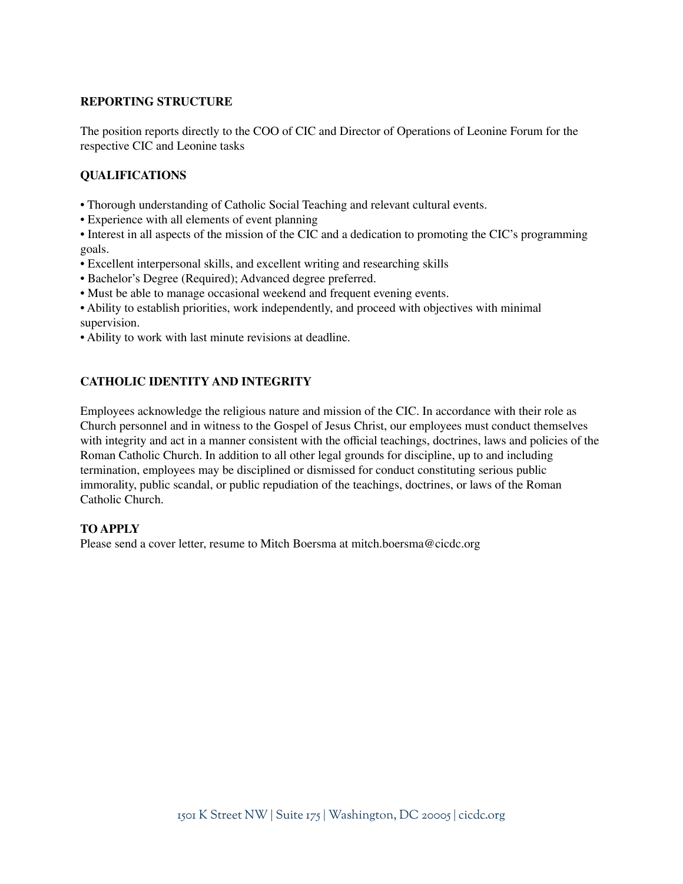## **REPORTING STRUCTURE**

The position reports directly to the COO of CIC and Director of Operations of Leonine Forum for the respective CIC and Leonine tasks

## **QUALIFICATIONS**

- Thorough understanding of Catholic Social Teaching and relevant cultural events.
- Experience with all elements of event planning
- Interest in all aspects of the mission of the CIC and a dedication to promoting the CIC's programming goals.
- Excellent interpersonal skills, and excellent writing and researching skills
- Bachelor's Degree (Required); Advanced degree preferred.
- Must be able to manage occasional weekend and frequent evening events.
- Ability to establish priorities, work independently, and proceed with objectives with minimal supervision.
- Ability to work with last minute revisions at deadline.

## **CATHOLIC IDENTITY AND INTEGRITY**

Employees acknowledge the religious nature and mission of the CIC. In accordance with their role as Church personnel and in witness to the Gospel of Jesus Christ, our employees must conduct themselves with integrity and act in a manner consistent with the official teachings, doctrines, laws and policies of the Roman Catholic Church. In addition to all other legal grounds for discipline, up to and including termination, employees may be disciplined or dismissed for conduct constituting serious public immorality, public scandal, or public repudiation of the teachings, doctrines, or laws of the Roman Catholic Church.

#### **TO APPLY**

Please send a cover letter, resume to Mitch Boersma at [mitch.boersma@cicdc.org](mailto:mitch.boersma@cicdc.org)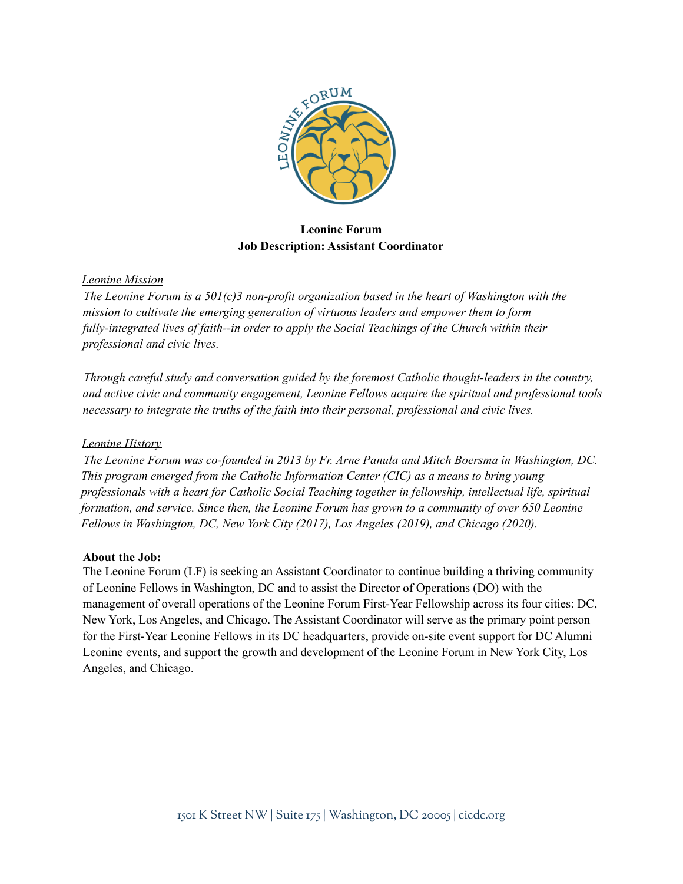

## **Leonine Forum Job Description: Assistant Coordinator**

## *Leonine Mission*

*The Leonine Forum is a 501(c)3 non-profit organization based in the heart of Washington with the mission to cultivate the emerging generation of virtuous leaders and empower them to form fully-integrated lives of faith--in order to apply the Social Teachings of the Church within their professional and civic lives.*

*Through careful study and conversation guided by the foremost Catholic thought-leaders in the country, and active civic and community engagement, Leonine Fellows acquire the spiritual and professional tools necessary to integrate the truths of the faith into their personal, professional and civic lives.*

## *Leonine History*

*The Leonine Forum was co-founded in 2013 by Fr. Arne Panula and Mitch Boersma in Washington, DC. This program emerged from the Catholic Information Center (CIC) as a means to bring young professionals with a heart for Catholic Social Teaching together in fellowship, intellectual life, spiritual formation, and service. Since then, the Leonine Forum has grown to a community of over 650 Leonine Fellows in Washington, DC, New York City (2017), Los Angeles (2019), and Chicago (2020).*

## **About the Job:**

The Leonine Forum (LF) is seeking an Assistant Coordinator to continue building a thriving community of Leonine Fellows in Washington, DC and to assist the Director of Operations (DO) with the management of overall operations of the Leonine Forum First-Year Fellowship across its four cities: DC, New York, Los Angeles, and Chicago. The Assistant Coordinator will serve as the primary point person for the First-Year Leonine Fellows in its DC headquarters, provide on-site event support for DC Alumni Leonine events, and support the growth and development of the Leonine Forum in New York City, Los Angeles, and Chicago.